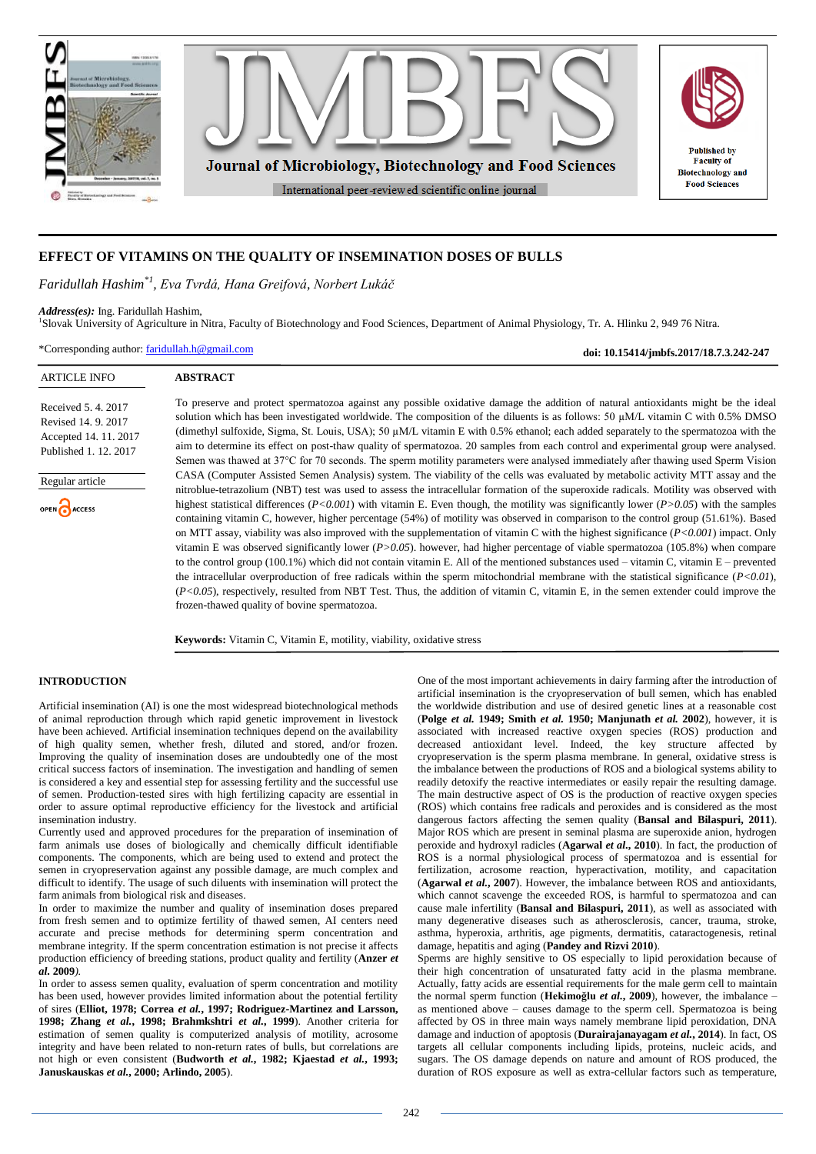

# **EFFECT OF VITAMINS ON THE QUALITY OF INSEMINATION DOSES OF BULLS**

*Faridullah Hashim\*1 , Eva Tvrdá, Hana Greifová, Norbert Lukáč*

**ABSTRACT**

*Address(es):* Ing. Faridullah Hashim,

1 Slovak University of Agriculture in Nitra, Faculty of Biotechnology and Food Sciences, Department of Animal Physiology, Tr. A. Hlinku 2, 949 76 Nitra.

\*Corresponding author: [faridullah.h@gmail.com](mailto:faridullah.h@gmail.com)

**doi: 10.15414/jmbfs.2017/18.7.3.242-247**

#### ARTICLE INFO

Received 5. 4. 2017 Revised 14. 9. 2017 Accepted 14. 11. 2017 Published 1. 12. 2017



To preserve and protect spermatozoa against any possible oxidative damage the addition of natural antioxidants might be the ideal solution which has been investigated worldwide. The composition of the diluents is as follows: 50 µM/L vitamin C with 0.5% DMSO (dimethyl sulfoxide, Sigma, St. Louis, USA); 50 µM/L vitamin E with 0.5% ethanol; each added separately to the spermatozoa with the aim to determine its effect on post-thaw quality of spermatozoa. 20 samples from each control and experimental group were analysed. Semen was thawed at 37°C for 70 seconds. The sperm motility parameters were analysed immediately after thawing used Sperm Vision CASA (Computer Assisted Semen Analysis) system. The viability of the cells was evaluated by metabolic activity MTT assay and the nitroblue-tetrazolium (NBT) test was used to assess the intracellular formation of the superoxide radicals. Motility was observed with highest statistical differences (*P<0.001*) with vitamin E. Even though, the motility was significantly lower (*P>0.05*) with the samples containing vitamin C, however, higher percentage (54%) of motility was observed in comparison to the control group (51.61%). Based on MTT assay, viability was also improved with the supplementation of vitamin C with the highest significance (*P<0.001*) impact. Only vitamin E was observed significantly lower (*P>0.05*). however, had higher percentage of viable spermatozoa (105.8%) when compare to the control group (100.1%) which did not contain vitamin E. All of the mentioned substances used – vitamin C, vitamin E – prevented the intracellular overproduction of free radicals within the sperm mitochondrial membrane with the statistical significance (*P<0.01*), (*P<0.05*), respectively, resulted from NBT Test. Thus, the addition of vitamin C, vitamin E, in the semen extender could improve the frozen-thawed quality of bovine spermatozoa.

**Keywords:** Vitamin C, Vitamin E, motility, viability, oxidative stress

# **INTRODUCTION**

Artificial insemination (AI) is one the most widespread biotechnological methods of animal reproduction through which rapid genetic improvement in livestock have been achieved. Artificial insemination techniques depend on the availability of high quality semen, whether fresh, diluted and stored, and/or frozen. Improving the quality of insemination doses are undoubtedly one of the most critical success factors of insemination. The investigation and handling of semen is considered a key and essential step for assessing fertility and the successful use of semen*.* Production-tested sires with high fertilizing capacity are essential in order to assure optimal reproductive efficiency for the livestock and artificial insemination industry.

Currently used and approved procedures for the preparation of insemination of farm animals use doses of biologically and chemically difficult identifiable components. The components, which are being used to extend and protect the semen in cryopreservation against any possible damage, are much complex and difficult to identify. The usage of such diluents with insemination will protect the farm animals from biological risk and diseases.

In order to maximize the number and quality of insemination doses prepared from fresh semen and to optimize fertility of thawed semen, AI centers need accurate and precise methods for determining sperm concentration and membrane integrity. If the sperm concentration estimation is not precise it affects production efficiency of breeding stations, product quality and fertility (**Anzer** *et al.* **2009***).*

In order to assess semen quality, evaluation of sperm concentration and motility has been used, however provides limited information about the potential fertility of sires (**Elliot, 1978; Correa** *et al.***, 1997; Rodriguez-Martinez and Larsson, 1998; Zhang** *et al.***, 1998; Brahmkshtri** *et al.***, 1999**). Another criteria for estimation of semen quality is computerized analysis of motility, acrosome integrity and have been related to non-return rates of bulls, but correlations are not high or even consistent (**Budworth** *et al.***, 1982; Kjaestad** *et al.***, 1993; Januskauskas** *et al.***, 2000; Arlindo, 2005**).

One of the most important achievements in dairy farming after the introduction of artificial insemination is the cryopreservation of bull semen, which has enabled the worldwide distribution and use of desired genetic lines at a reasonable cost (**Polge** *et al.* **1949; Smith** *et al.* **1950; Manjunath** *et al.* **2002**), however, it is associated with increased reactive oxygen species (ROS) production and decreased antioxidant level. Indeed, the key structure affected by cryopreservation is the sperm plasma membrane. In general, oxidative stress is the imbalance between the productions of ROS and a biological systems ability to readily detoxify the reactive intermediates or easily repair the resulting damage. The main destructive aspect of OS is the production of reactive oxygen species (ROS) which contains free radicals and peroxides and is considered as the most dangerous factors affecting the semen quality (**Bansal and Bilaspuri, 2011**). Major ROS which are present in seminal plasma are superoxide anion, hydrogen peroxide and hydroxyl radicles (**Agarwal** *et al***., 2010**). In fact, the production of ROS is a normal physiological process of spermatozoa and is essential for fertilization, acrosome reaction, hyperactivation, motility, and capacitation (**Agarwal** *et al.***, 2007**). However, the imbalance between ROS and antioxidants, which cannot scavenge the exceeded ROS, is harmful to spermatozoa and can cause male infertility (**Bansal and Bilaspuri, 2011**), as well as associated with many degenerative diseases such as atherosclerosis, cancer, trauma, stroke, asthma, hyperoxia, arthritis, age pigments, dermatitis, cataractogenesis, retinal damage, hepatitis and aging (**Pandey and Rizvi 2010**).

Sperms are highly sensitive to OS especially to lipid peroxidation because of their high concentration of unsaturated fatty acid in the plasma membrane. Actually, fatty acids are essential requirements for the male germ cell to maintain the normal sperm function (**Hekimoğlu** *et al.***, 2009**), however, the imbalance – as mentioned above – causes damage to the sperm cell. Spermatozoa is being affected by OS in three main ways namely membrane lipid peroxidation, DNA damage and induction of apoptosis (**Durairajanayagam** *et al.***, 2014**). In fact, OS targets all cellular components including lipids, proteins, nucleic acids, and sugars. The OS damage depends on nature and amount of ROS produced, the duration of ROS exposure as well as extra-cellular factors such as temperature,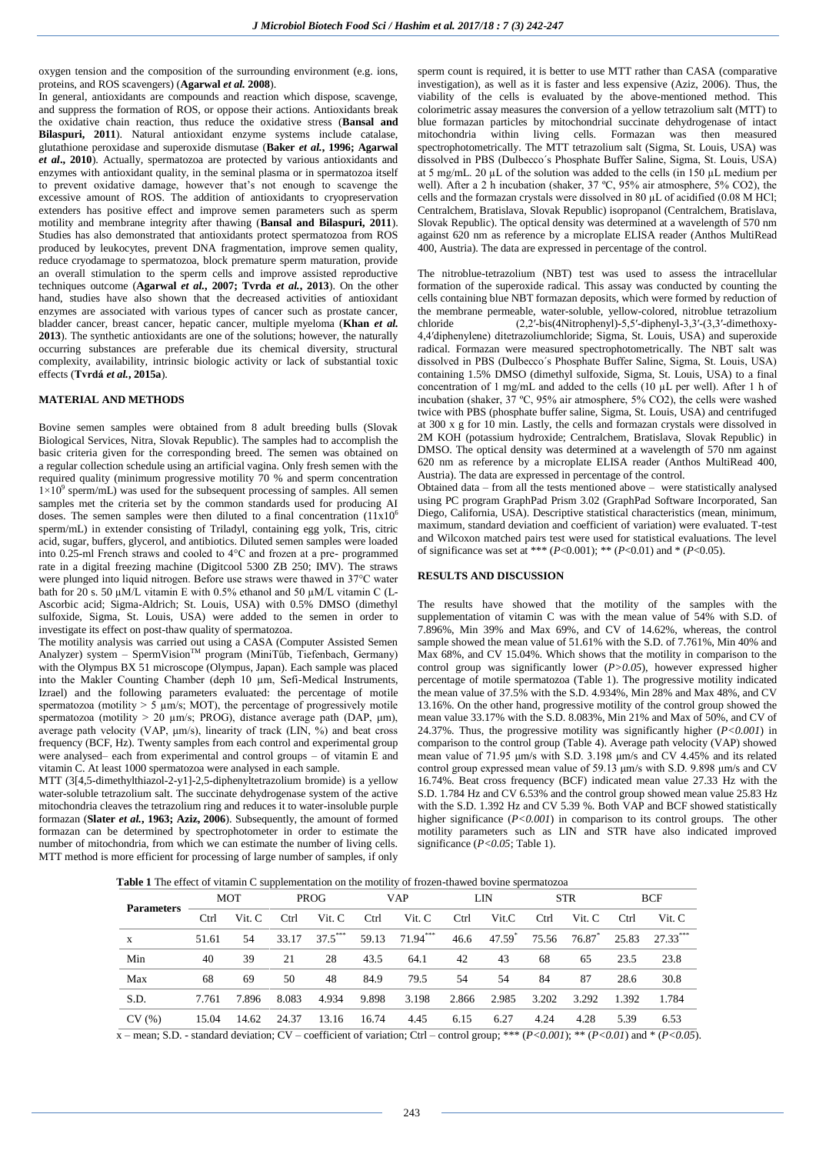oxygen tension and the composition of the surrounding environment (e.g. ions, proteins, and ROS scavengers) (**Agarwal** *et al.* **2008**).

In general, antioxidants are compounds and reaction which dispose, scavenge, and suppress the formation of ROS, or oppose their actions. Antioxidants break the oxidative chain reaction, thus reduce the oxidative stress (**Bansal and Bilaspuri, 2011**). Natural antioxidant enzyme systems include catalase, glutathione peroxidase and superoxide dismutase (**Baker** *et al.***, 1996; Agarwal**  *et al***., 2010**). Actually, spermatozoa are protected by various antioxidants and enzymes with antioxidant quality, in the seminal plasma or in spermatozoa itself to prevent oxidative damage, however that's not enough to scavenge the excessive amount of ROS. The addition of antioxidants to cryopreservation extenders has positive effect and improve semen parameters such as sperm motility and membrane integrity after thawing (**Bansal and Bilaspuri, 2011**). Studies has also demonstrated that antioxidants protect spermatozoa from ROS produced by leukocytes, prevent DNA fragmentation, improve semen quality, reduce cryodamage to spermatozoa, block premature sperm maturation, provide an overall stimulation to the sperm cells and improve assisted reproductive techniques outcome (**Agarwal** *et al.***, 2007; Tvrda** *et al.***, 2013**). On the other hand, studies have also shown that the decreased activities of antioxidant enzymes are associated with various types of cancer such as prostate cancer, bladder cancer, breast cancer, hepatic cancer, multiple myeloma (**Khan** *et al.* **2013**). The synthetic antioxidants are one of the solutions; however, the naturally occurring substances are preferable due its chemical diversity, structural complexity, availability, intrinsic biologic activity or lack of substantial toxic effects (**Tvrdá** *et al.***, 2015a**).

# **MATERIAL AND METHODS**

Bovine semen samples were obtained from 8 adult breeding bulls (Slovak Biological Services, Nitra, Slovak Republic). The samples had to accomplish the basic criteria given for the corresponding breed. The semen was obtained on a regular collection schedule using an artificial vagina. Only fresh semen with the required quality (minimum progressive motility 70 % and sperm concentration  $1\times10^{9}$  sperm/mL) was used for the subsequent processing of samples. All semen samples met the criteria set by the common standards used for producing AI doses. The semen samples were then diluted to a final concentration  $(11x10<sup>6</sup>)$ sperm/mL) in extender consisting of Triladyl, containing egg yolk, Tris, citric acid, sugar, buffers, glycerol, and antibiotics. Diluted semen samples were loaded into 0.25-ml French straws and cooled to 4°C and frozen at a pre- programmed rate in a digital freezing machine (Digitcool 5300 ZB 250; IMV). The straws were plunged into liquid nitrogen. Before use straws were thawed in 37°C water bath for 20 s. 50  $\mu$ M/L vitamin E with 0.5% ethanol and 50  $\mu$ M/L vitamin C (L-Ascorbic acid; Sigma-Aldrich; St. Louis, USA) with 0.5% DMSO (dimethyl sulfoxide, Sigma, St. Louis, USA) were added to the semen in order to investigate its effect on post-thaw quality of spermatozoa.

The motility analysis was carried out using a CASA (Computer Assisted Semen Analyzer) system – SpermVision<sup>TM</sup> program (MiniTűb, Tiefenbach, Germany) with the Olympus BX 51 microscope (Olympus, Japan). Each sample was placed into the Makler Counting Chamber (deph 10 µm, Sefi-Medical Instruments, Izrael) and the following parameters evaluated: the percentage of motile spermatozoa (motility  $> 5 \text{ µm/s}$ ; MOT), the percentage of progressively motile spermatozoa (motility > 20 µm/s; PROG), distance average path (DAP, μm), average path velocity (VAP,  $\mu$ m/s), linearity of track (LIN,  $\%$ ) and beat cross frequency (BCF, Hz). Twenty samples from each control and experimental group were analysed– each from experimental and control groups – of vitamin E and vitamin C. At least 1000 spermatozoa were analysed in each sample.

MTT (3[4,5-dimethylthiazol-2-y1]-2,5-diphenyltetrazolium bromide) is a yellow water-soluble tetrazolium salt. The succinate dehydrogenase system of the active mitochondria cleaves the tetrazolium ring and reduces it to water-insoluble purple formazan (**Slater** *et al.***, 1963; Aziz, 2006**). Subsequently, the amount of formed formazan can be determined by spectrophotometer in order to estimate the number of mitochondria, from which we can estimate the number of living cells. MTT method is more efficient for processing of large number of samples, if only sperm count is required, it is better to use MTT rather than CASA (comparative investigation), as well as it is faster and less expensive (Aziz, 2006). Thus, the viability of the cells is evaluated by the above-mentioned method. This colorimetric assay measures the conversion of a yellow tetrazolium salt (MTT) to blue formazan particles by mitochondrial succinate dehydrogenase of intact mitochondria within living cells. Formazan was then measured spectrophotometrically. The MTT tetrazolium salt (Sigma, St. Louis, USA) was dissolved in PBS (Dulbecco´s Phosphate Buffer Saline, Sigma, St. Louis, USA) at 5 mg/mL. 20  $\mu$ L of the solution was added to the cells (in 150  $\mu$ L medium per well). After a 2 h incubation (shaker, 37 ºC, 95% air atmosphere, 5% CO2), the cells and the formazan crystals were dissolved in 80 µL of acidified (0.08 M HCl; Centralchem, Bratislava, Slovak Republic) isopropanol (Centralchem, Bratislava, Slovak Republic). The optical density was determined at a wavelength of 570 nm against 620 nm as reference by a microplate ELISA reader (Anthos MultiRead 400, Austria). The data are expressed in percentage of the control.

The nitroblue-tetrazolium (NBT) test was used to assess the intracellular formation of the superoxide radical. This assay was conducted by counting the cells containing blue NBT formazan deposits, which were formed by reduction of the membrane permeable, water-soluble, yellow-colored, nitroblue tetrazolium chloride (2.2'-bis(4Nitrophenyl)-5,5'-diphenyl-3,3'-(3,3'-dimethoxy- $(2,2′-bis(4Nitrophenyl)-5,5′-diphenyl-3,3′-(3,3′-dimethoxy-$ 4,4′diphenylene) ditetrazoliumchloride; Sigma, St. Louis, USA) and superoxide radical. Formazan were measured spectrophotometrically. The NBT salt was dissolved in PBS (Dulbecco´s Phosphate Buffer Saline, Sigma, St. Louis, USA) containing 1.5% DMSO (dimethyl sulfoxide, Sigma, St. Louis, USA) to a final concentration of 1 mg/mL and added to the cells (10 µL per well). After 1 h of incubation (shaker, 37 ºC, 95% air atmosphere, 5% CO2), the cells were washed twice with PBS (phosphate buffer saline, Sigma, St. Louis, USA) and centrifuged at 300 x g for 10 min. Lastly, the cells and formazan crystals were dissolved in 2M KOH (potassium hydroxide; Centralchem, Bratislava, Slovak Republic) in DMSO. The optical density was determined at a wavelength of 570 nm against 620 nm as reference by a microplate ELISA reader (Anthos MultiRead 400, Austria). The data are expressed in percentage of the control.

Obtained data – from all the tests mentioned above – were statistically analysed using PC program GraphPad Prism 3.02 (GraphPad Software Incorporated, San Diego, California, USA). Descriptive statistical characteristics (mean, minimum, maximum, standard deviation and coefficient of variation) were evaluated. T-test and Wilcoxon matched pairs test were used for statistical evaluations. The level of significance was set at \*\*\*  $(P<0.001)$ ; \*\*  $(P<0.01)$  and \*  $(P<0.05)$ .

#### **RESULTS AND DISCUSSION**

The results have showed that the motility of the samples with the supplementation of vitamin C was with the mean value of 54% with S.D. of 7.896%, Min 39% and Max 69%, and CV of 14.62%, whereas, the control sample showed the mean value of 51.61% with the S.D. of 7.761%, Min 40% and Max 68%, and CV 15.04%. Which shows that the motility in comparison to the control group was significantly lower (*P>0.05*), however expressed higher percentage of motile spermatozoa (Table 1). The progressive motility indicated the mean value of 37.5% with the S.D. 4.934%, Min 28% and Max 48%, and CV 13.16%. On the other hand, progressive motility of the control group showed the mean value 33.17% with the S.D. 8.083%, Min 21% and Max of 50%, and CV of 24.37%. Thus, the progressive motility was significantly higher (*P<0.001*) in comparison to the control group (Table 4). Average path velocity (VAP) showed mean value of 71.95 μm/s with S.D. 3.198 μm/s and CV 4.45% and its related control group expressed mean value of 59.13 μm/s with S.D. 9.898 μm/s and CV 16.74%. Beat cross frequency (BCF) indicated mean value 27.33 Hz with the S.D. 1.784 Hz and CV 6.53% and the control group showed mean value 25.83 Hz with the S.D. 1.392 Hz and CV 5.39 %. Both VAP and BCF showed statistically higher significance (*P<0.001*) in comparison to its control groups. The other motility parameters such as LIN and STR have also indicated improved significance (*P<0.05*; Table 1).

**Table 1** The effect of vitamin C supplementation on the motility of frozen-thawed bovine spermatozoa

|                   | <b>MOT</b> |        | <b>PROG</b> |           | <b>VAP</b> |                | LIN   |                 | <b>STR</b> |              | <b>BCF</b> |            |
|-------------------|------------|--------|-------------|-----------|------------|----------------|-------|-----------------|------------|--------------|------------|------------|
| <b>Parameters</b> | Ctrl       | Vit. C | Ctrl        | Vit. C    | Ctrl       | Vit. C         | Ctrl  | Vit.C           | Ctrl       | Vit. C       | Ctrl       | Vit. C     |
| X                 | 51.61      | 54     | 33.17       | $37.5***$ |            | 59.13 71.94*** | 46.6  | 47.59 $\degree$ |            | 75.56 76.87* | 25.83      | $27.33***$ |
| Min               | 40         | 39     | 21          | 28        | 43.5       | 64.1           | 42    | 43              | 68         | 65           | 23.5       | 23.8       |
| Max               | 68         | 69     | 50          | 48        | 84.9       | 79.5           | 54    | 54              | 84         | 87           | 28.6       | 30.8       |
| S.D.              | 7.761      | 7.896  | 8.083       | 4.934     | 9.898      | 3.198          | 2.866 | 2.985           | 3.202      | 3.292        | 1.392      | 1.784      |
| CV(%)             | 15.04      | 14.62  | 24.37       | 13.16     | 16.74      | 4.45           | 6.15  | 6.27            | 4.24       | 4.28         | 5.39       | 6.53       |

 $\overline{x}$  – mean; S.D. - standard deviation; CV – coefficient of variation; Ctrl – control group; \*\*\* (*P*<0.001); \*\* (*P*<0.01) and \* (*P*<0.05).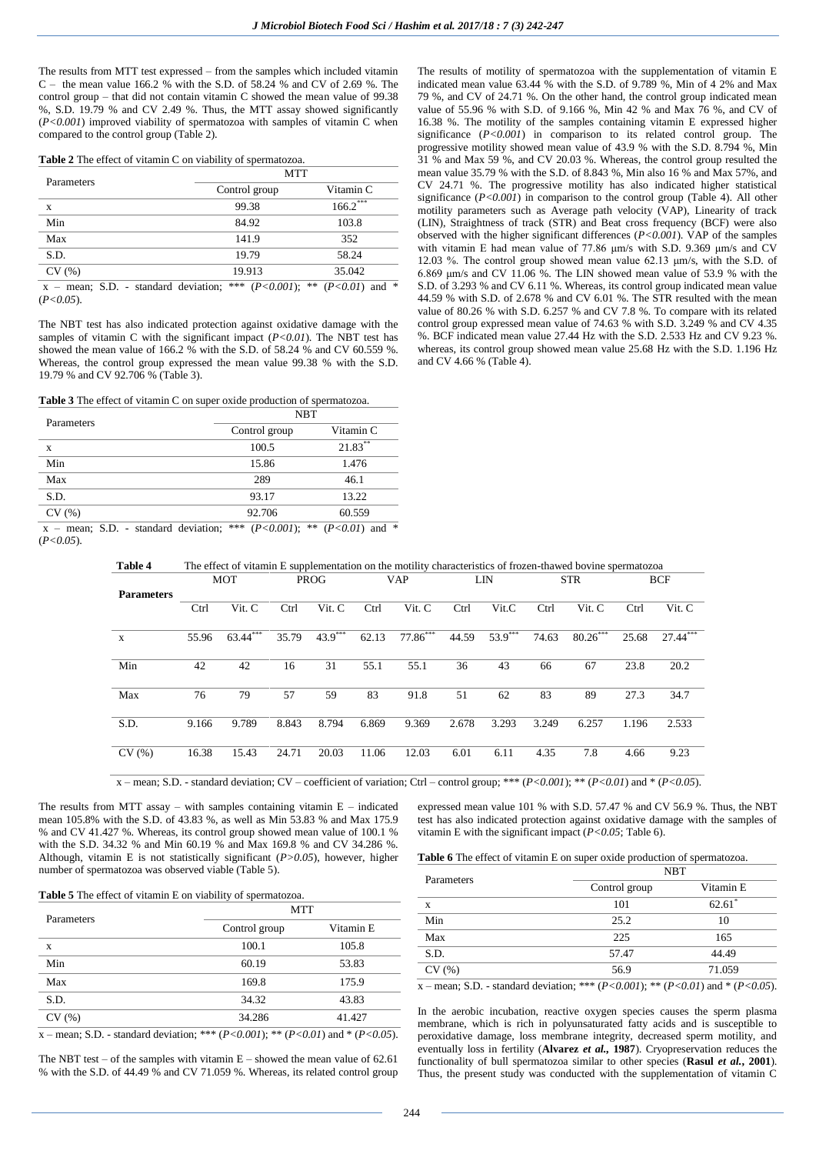The results from MTT test expressed – from the samples which included vitamin C – the mean value 166.2 % with the S.D. of 58.24 % and CV of 2.69 %. The control group – that did not contain vitamin C showed the mean value of 99.38 %, S.D. 19.79 % and CV 2.49 %. Thus, the MTT assay showed significantly (*P<0.001*) improved viability of spermatozoa with samples of vitamin C when compared to the control group (Table 2).

| Table 2 The effect of vitamin C on viability of spermatozoa. |  |  |  |
|--------------------------------------------------------------|--|--|--|
|--------------------------------------------------------------|--|--|--|

| Parameters               | <b>MTT</b>                                                              |            |  |  |  |  |  |
|--------------------------|-------------------------------------------------------------------------|------------|--|--|--|--|--|
|                          | Control group                                                           | Vitamin C  |  |  |  |  |  |
| X                        | 99.38                                                                   | $166.2***$ |  |  |  |  |  |
| Min                      | 84.92                                                                   | 103.8      |  |  |  |  |  |
| Max                      | 141.9                                                                   | 352        |  |  |  |  |  |
| S.D.                     | 19.79                                                                   | 58.24      |  |  |  |  |  |
| CV(%)                    | 19.913                                                                  | 35.042     |  |  |  |  |  |
| maan, CD<br>$\mathbf{v}$ | standard deviation, *** $(D \times 0.001)$ , ** $(D \times 0.01)$ and * |            |  |  |  |  |  |

 x – mean; S.D. - standard deviation; \*\*\* (*P<0.001*); \*\* (*P<0.01*) and \* (*P<0.05*).

The NBT test has also indicated protection against oxidative damage with the samples of vitamin C with the significant impact (*P<0.01*). The NBT test has showed the mean value of 166.2 % with the S.D. of 58.24 % and CV 60.559 %. Whereas, the control group expressed the mean value 99.38 % with the S.D. 19.79 % and CV 92.706 % (Table 3).

**Table 3** The effect of vitamin C on super oxide production of spermatozoa.

| Parameters         | <b>NBT</b>                                                                                                                                                                                                                                                                                                        |                                       |  |  |  |
|--------------------|-------------------------------------------------------------------------------------------------------------------------------------------------------------------------------------------------------------------------------------------------------------------------------------------------------------------|---------------------------------------|--|--|--|
|                    | Vitamin C<br>Control group                                                                                                                                                                                                                                                                                        |                                       |  |  |  |
| X                  | 100.5                                                                                                                                                                                                                                                                                                             | 21.83**                               |  |  |  |
| Min                | 15.86                                                                                                                                                                                                                                                                                                             | 1.476                                 |  |  |  |
| Max                | 289                                                                                                                                                                                                                                                                                                               | 46.1                                  |  |  |  |
| S.D.               | 93.17                                                                                                                                                                                                                                                                                                             | 13.22                                 |  |  |  |
| CV(%)              | 92.706                                                                                                                                                                                                                                                                                                            | 60.559                                |  |  |  |
| .<br>$\sim$ $\sim$ | $\mathcal{A}$ and $\mathcal{A}$ and $\mathcal{A}$ and $\mathcal{A}$ and $\mathcal{A}$ and $\mathcal{A}$ and $\mathcal{A}$ and $\mathcal{A}$ and $\mathcal{A}$ and $\mathcal{A}$ and $\mathcal{A}$ and $\mathcal{A}$ and $\mathcal{A}$ and $\mathcal{A}$ and $\mathcal{A}$ and $\mathcal{A}$ and $\mathcal{A}$ and | $\mathbf{H} = -\mathbf{H} \mathbf{H}$ |  |  |  |

 x – mean; S.D. - standard deviation; \*\*\* (*P<0.001*); \*\* (*P<0.01*) and \* (*P<0.05*).

The results of motility of spermatozoa with the supplementation of vitamin E indicated mean value 63.44 % with the S.D. of 9.789 %, Min of 4 2% and Max 79 %, and CV of 24.71 %. On the other hand, the control group indicated mean value of 55.96 % with S.D. of 9.166 %, Min 42 % and Max 76 %, and CV of 16.38 %. The motility of the samples containing vitamin E expressed higher significance (*P<0.001*) in comparison to its related control group. The progressive motility showed mean value of 43.9 % with the S.D. 8.794 %. Min 31 % and Max 59 %, and CV 20.03 %. Whereas, the control group resulted the mean value 35.79 % with the S.D. of 8.843 %, Min also 16 % and Max 57%, and CV 24.71 %. The progressive motility has also indicated higher statistical significance  $(P<0.001)$  in comparison to the control group (Table 4). All other motility parameters such as Average path velocity (VAP), Linearity of track (LIN), Straightness of track (STR) and Beat cross frequency (BCF) were also observed with the higher significant differences (*P<0.001*). VAP of the samples with vitamin E had mean value of 77.86 μm/s with S.D. 9.369 μm/s and CV 12.03 %. The control group showed mean value 62.13 μm/s, with the S.D. of 6.869 μm/s and CV 11.06 %. The LIN showed mean value of 53.9 % with the S.D. of 3.293 % and CV 6.11 %. Whereas, its control group indicated mean value 44.59 % with S.D. of 2.678 % and CV 6.01 %. The STR resulted with the mean value of 80.26 % with S.D. 6.257 % and CV 7.8 %. To compare with its related control group expressed mean value of 74.63 % with S.D. 3.249 % and CV 4.35 %. BCF indicated mean value 27.44 Hz with the S.D. 2.533 Hz and CV 9.23 %. whereas, its control group showed mean value 25.68 Hz with the S.D. 1.196 Hz and CV 4.66 % (Table 4).

|                   |       | <b>MOT</b> |       | <b>PROG</b> |       | <b>VAP</b> |       | LIN       |       | <b>STR</b> |       | <b>BCF</b> |
|-------------------|-------|------------|-------|-------------|-------|------------|-------|-----------|-------|------------|-------|------------|
| <b>Parameters</b> |       |            |       |             |       |            |       |           |       |            |       |            |
|                   | Ctrl  | Vit. C     | Ctrl  | Vit. C      | Ctrl  | Vit. C     | Ctrl  | Vit.C     | Ctrl  | Vit. C     | Ctrl  | Vit. C     |
|                   |       |            |       |             |       |            |       |           |       |            |       |            |
| X                 | 55.96 | $63.44***$ | 35.79 | $43.9***$   | 62.13 | $77.86***$ | 44.59 | $53.9***$ | 74.63 | $80.26***$ | 25.68 | $27.44***$ |
|                   |       |            |       |             |       |            |       |           |       |            |       |            |
| Min               | 42    | 42         | 16    | 31          | 55.1  | 55.1       | 36    | 43        | 66    | 67         | 23.8  | 20.2       |
|                   |       |            |       |             |       |            |       |           |       |            |       |            |
| Max               | 76    | 79         | 57    | 59          | 83    | 91.8       | 51    | 62        | 83    | 89         | 27.3  | 34.7       |
|                   |       |            |       |             |       |            |       |           |       |            |       |            |
| S.D.              | 9.166 | 9.789      | 8.843 | 8.794       | 6.869 | 9.369      | 2.678 | 3.293     | 3.249 | 6.257      | 1.196 | 2.533      |
|                   |       |            |       |             |       |            |       |           |       |            |       |            |
| CV(%)             | 16.38 | 15.43      | 24.71 | 20.03       | 11.06 | 12.03      | 6.01  | 6.11      | 4.35  | 7.8        | 4.66  | 9.23       |
|                   |       |            |       |             |       |            |       |           |       |            |       |            |

**Table 4** The effect of vitamin E supplementation on the motility characteristics of frozen-thawed bovine spermatozoa

x – mean; S.D. - standard deviation; CV – coefficient of variation; Ctrl – control group; \*\*\* (*P<0.001*); \*\* (*P<0.01*) and \* (*P<0.05*).

The results from MTT assay – with samples containing vitamin  $E$  – indicated mean 105.8% with the S.D. of 43.83 %, as well as Min 53.83 % and Max 175.9 % and CV 41.427 %. Whereas, its control group showed mean value of 100.1 % with the S.D. 34.32 % and Min 60.19 % and Max 169.8 % and CV 34.286 %. Although, vitamin E is not statistically significant (*P>0.05*), however, higher number of spermatozoa was observed viable (Table 5).

expressed mean value 101 % with S.D. 57.47 % and CV 56.9 %. Thus, the NBT test has also indicated protection against oxidative damage with the samples of vitamin E with the significant impact (*P<0.05*; Table 6).

**Table 6** The effect of vitamin E on super oxide production of spermatozoa.

| Parameters | <b>NBT</b>    |           |  |  |  |
|------------|---------------|-----------|--|--|--|
|            | Control group | Vitamin E |  |  |  |
| X          | 101           | 62.61     |  |  |  |
| Min        | 25.2          | 10        |  |  |  |
| Max        | 225           | 165       |  |  |  |
| S.D.       | 57.47         | 44.49     |  |  |  |
| CV(%)      | 56.9          | 71.059    |  |  |  |

 $\overline{x}$  – mean; S.D. - standard deviation; \*\*\* (*P<0.001*); \*\* (*P<0.01*) and \* (*P<0.05*).

In the aerobic incubation, reactive oxygen species causes the sperm plasma membrane, which is rich in polyunsaturated fatty acids and is susceptible to peroxidative damage, loss membrane integrity, decreased sperm motility, and eventually loss in fertility (**Alvarez** *et al.,* **1987**). Cryopreservation reduces the functionality of bull spermatozoa similar to other species (**Rasul** *et al.***, 2001**). Thus, the present study was conducted with the supplementation of vitamin C

**Table 5** The effect of vitamin E on viability of spermatozoa.

| Parameters                 | <b>MTT</b>    |                      |  |  |  |  |
|----------------------------|---------------|----------------------|--|--|--|--|
|                            | Control group | Vitamin <sub>E</sub> |  |  |  |  |
| X                          | 100.1         | 105.8                |  |  |  |  |
| Min                        | 60.19         | 53.83                |  |  |  |  |
| Max                        | 169.8         | 175.9                |  |  |  |  |
| S.D.                       | 34.32         | 43.83                |  |  |  |  |
| CV(%)                      | 34.286        | 41.427               |  |  |  |  |
| .<br>$\alpha$ $\mathbf{r}$ | $\frac{1}{2}$ | $1.4.7B$ $0.05$      |  |  |  |  |

x – mean; S.D. - standard deviation; \*\*\* (*P<0.001*); \*\* (*P<0.01*) and \* (*P<0.05*).

The NBT test – of the samples with vitamin  $E$  – showed the mean value of 62.61 % with the S.D. of 44.49 % and CV 71.059 %. Whereas, its related control group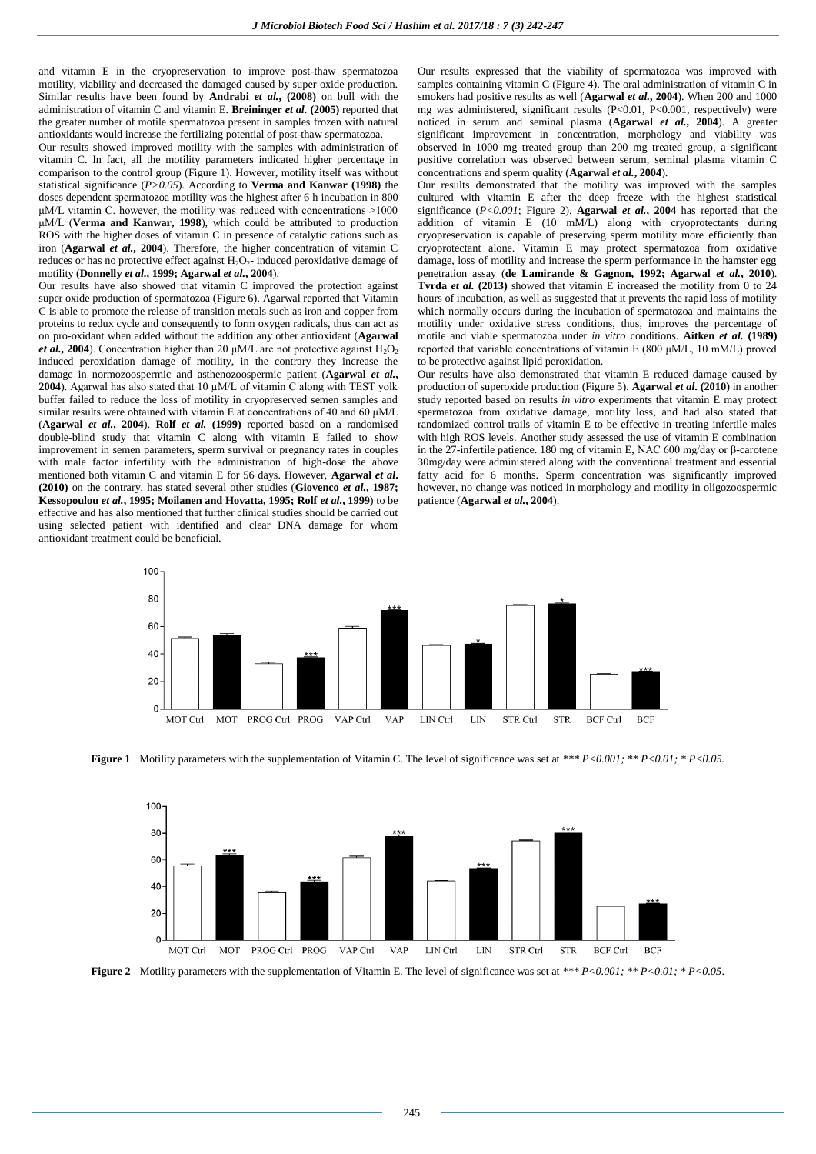and vitamin E in the cryopreservation to improve post-thaw spermatozoa motility, viability and decreased the damaged caused by super oxide production. Similar results have been found by **Andrabi** *et al.***, (2008)** on bull with the administration of vitamin C and vitamin E. **Breininger** *et al.* **(2005)** reported that the greater number of motile spermatozoa present in samples frozen with natural antioxidants would increase the fertilizing potential of post-thaw spermatozoa.

Our results showed improved motility with the samples with administration of vitamin C. In fact, all the motility parameters indicated higher percentage in comparison to the control group (Figure 1). However, motility itself was without statistical significance (*P>0.05*). According to **Verma and Kanwar (1998)** the doses dependent spermatozoa motility was the highest after 6 h incubation in 800  $\mu$ M/L vitamin C. however, the motility was reduced with concentrations  $>1000$ μM/L (**Verma and Kanwar, 1998**), which could be attributed to production ROS with the higher doses of vitamin C in presence of catalytic cations such as iron (**Agarwal** *et al.***, 2004**). Therefore, the higher concentration of vitamin C reduces or has no protective effect against  $H_2O_2$ - induced peroxidative damage of motility (**Donnelly** *et al.***, 1999; Agarwal** *et al.***, 2004**).

Our results have also showed that vitamin C improved the protection against super oxide production of spermatozoa (Figure 6). Agarwal reported that Vitamin C is able to promote the release of transition metals such as iron and copper from proteins to redux cycle and consequently to form oxygen radicals, thus can act as on pro-oxidant when added without the addition any other antioxidant (**Agarwal**  *et al.*, 2004). Concentration higher than 20  $\mu$ M/L are not protective against  $H_2O_2$ induced peroxidation damage of motility, in the contrary they increase the damage in normozoospermic and asthenozoospermic patient (**Agarwal** *et al.***, 2004**). Agarwal has also stated that 10 µM/L of vitamin C along with TEST yolk buffer failed to reduce the loss of motility in cryopreserved semen samples and similar results were obtained with vitamin E at concentrations of 40 and 60 μM/L (**Agarwal** *et al.***, 2004**). **Rolf** *et al.* **(1999)** reported based on a randomised double-blind study that vitamin C along with vitamin E failed to show improvement in semen parameters, sperm survival or pregnancy rates in couples with male factor infertility with the administration of high-dose the above mentioned both vitamin C and vitamin E for 56 days. However, **Agarwal** *et al***. (2010)** on the contrary, has stated several other studies (**Giovenco** *et al.***, 1987; Kessopoulou** *et al.***, 1995; Moilanen and Hovatta, 1995; Rolf** *et al.***, 1999**) to be effective and has also mentioned that further clinical studies should be carried out using selected patient with identified and clear DNA damage for whom antioxidant treatment could be beneficial.

Our results expressed that the viability of spermatozoa was improved with samples containing vitamin C (Figure 4). The oral administration of vitamin C in smokers had positive results as well (**Agarwal** *et al.***, 2004**). When 200 and 1000 mg was administered, significant results (P<0.01, P<0.001, respectively) were noticed in serum and seminal plasma (**Agarwal** *et al.***, 2004**). A greater significant improvement in concentration, morphology and viability was observed in 1000 mg treated group than 200 mg treated group, a significant positive correlation was observed between serum, seminal plasma vitamin C concentrations and sperm quality (**Agarwal** *et al.***, 2004**).

Our results demonstrated that the motility was improved with the samples cultured with vitamin E after the deep freeze with the highest statistical significance (*P<0.001*; Figure 2). **Agarwal** *et al.***, 2004** has reported that the addition of vitamin  $E(10)$  mM/L) along with cryoprotectants during cryopreservation is capable of preserving sperm motility more efficiently than cryoprotectant alone. Vitamin E may protect spermatozoa from oxidative damage, loss of motility and increase the sperm performance in the hamster egg penetration assay (**de Lamirande & Gagnon, 1992; Agarwal** *et al.***, 2010**). **Tvrda** *et al.* **(2013)** showed that vitamin E increased the motility from 0 to 24 hours of incubation, as well as suggested that it prevents the rapid loss of motility which normally occurs during the incubation of spermatozoa and maintains the motility under oxidative stress conditions, thus, improves the percentage of motile and viable spermatozoa under *in vitro* conditions. **Aitken** *et al.* **(1989)** reported that variable concentrations of vitamin E (800 μM/L, 10 mM/L) proved to be protective against lipid peroxidation.

Our results have also demonstrated that vitamin E reduced damage caused by production of superoxide production (Figure 5). **Agarwal** *et al***. (2010)** in another study reported based on results *in vitro* experiments that vitamin E may protect spermatozoa from oxidative damage, motility loss, and had also stated that randomized control trails of vitamin E to be effective in treating infertile males with high ROS levels. Another study assessed the use of vitamin E combination in the 27-infertile patience. 180 mg of vitamin E, NAC 600 mg/day or β-carotene 30mg/day were administered along with the conventional treatment and essential fatty acid for 6 months. Sperm concentration was significantly improved however, no change was noticed in morphology and motility in oligozoospermic patience (**Agarwal** *et al.***, 2004**).



**Figure 1** Motility parameters with the supplementation of Vitamin C. The level of significance was set at \*\*\*  $P < 0.001$ ; \*\*  $P < 0.01$ ; \*  $P < 0.05$ .



**Figure 2** Motility parameters with the supplementation of Vitamin E. The level of significance was set at \*\*\* P<0.001; \*\* P<0.01; \* P<0.05.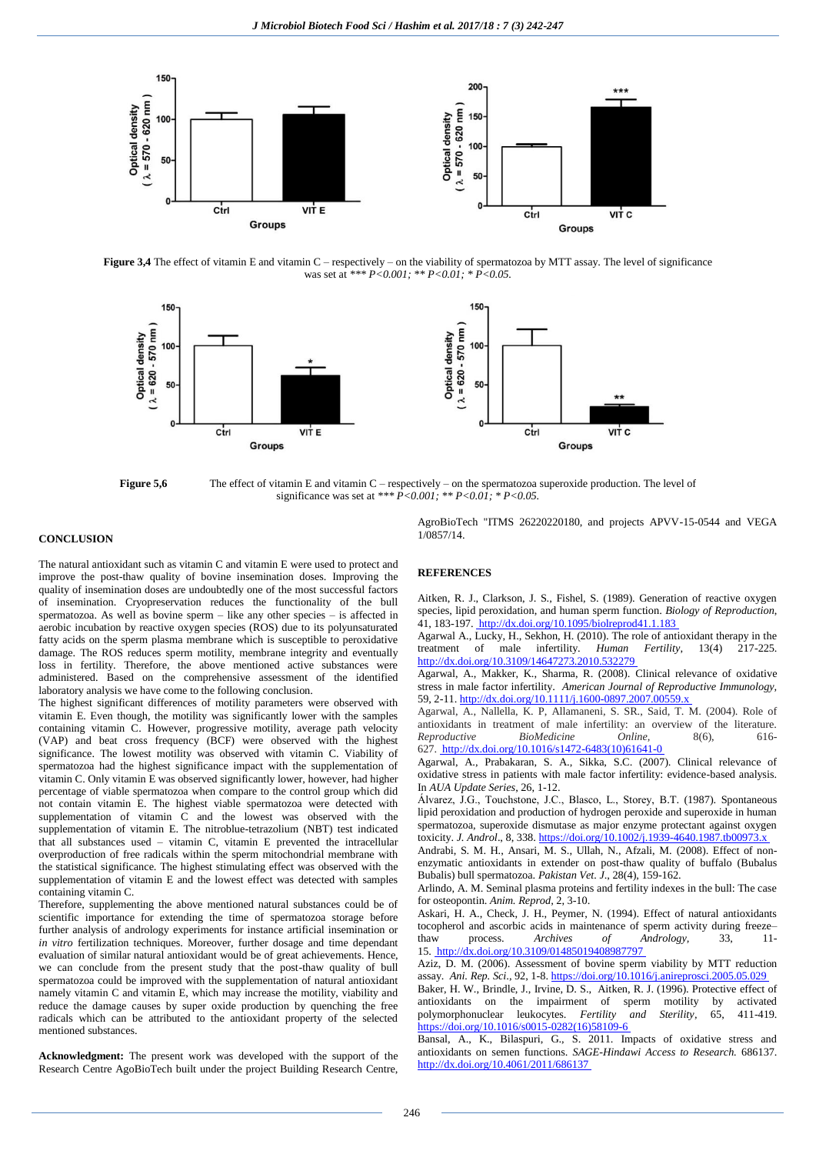

**Figure 3,4** The effect of vitamin E and vitamin C – respectively – on the viability of spermatozoa by MTT assay. The level of significance was set at *\*\*\* P<0.001; \*\* P<0.01; \* P<0.05.*



**Figure 5,6** The effect of vitamin E and vitamin C – respectively – on the spermatozoa superoxide production. The level of significance was set at *\*\*\* P<0.001; \*\* P<0.01; \* P<0.05.*

### **CONCLUSION**

The natural antioxidant such as vitamin C and vitamin E were used to protect and improve the post-thaw quality of bovine insemination doses. Improving the quality of insemination doses are undoubtedly one of the most successful factors of insemination. Cryopreservation reduces the functionality of the bull spermatozoa. As well as bovine sperm – like any other species – is affected in aerobic incubation by reactive oxygen species (ROS) due to its polyunsaturated fatty acids on the sperm plasma membrane which is susceptible to peroxidative damage. The ROS reduces sperm motility, membrane integrity and eventually loss in fertility. Therefore, the above mentioned active substances were administered. Based on the comprehensive assessment of the identified laboratory analysis we have come to the following conclusion.

The highest significant differences of motility parameters were observed with vitamin E. Even though, the motility was significantly lower with the samples containing vitamin C. However, progressive motility, average path velocity (VAP) and beat cross frequency (BCF) were observed with the highest significance. The lowest motility was observed with vitamin C. Viability of spermatozoa had the highest significance impact with the supplementation of vitamin C. Only vitamin E was observed significantly lower, however, had higher percentage of viable spermatozoa when compare to the control group which did not contain vitamin E. The highest viable spermatozoa were detected with supplementation of vitamin  $\overrightarrow{C}$  and the lowest was observed with the supplementation of vitamin E. The nitroblue-tetrazolium (NBT) test indicated that all substances used – vitamin C, vitamin E prevented the intracellular overproduction of free radicals within the sperm mitochondrial membrane with the statistical significance. The highest stimulating effect was observed with the supplementation of vitamin E and the lowest effect was detected with samples containing vitamin C.

Therefore, supplementing the above mentioned natural substances could be of scientific importance for extending the time of spermatozoa storage before further analysis of andrology experiments for instance artificial insemination or *in vitro* fertilization techniques. Moreover, further dosage and time dependant evaluation of similar natural antioxidant would be of great achievements. Hence, we can conclude from the present study that the post-thaw quality of bull spermatozoa could be improved with the supplementation of natural antioxidant namely vitamin C and vitamin E, which may increase the motility, viability and reduce the damage causes by super oxide production by quenching the free radicals which can be attributed to the antioxidant property of the selected mentioned substances.

**Acknowledgment:** The present work was developed with the support of the Research Centre AgoBioTech built under the project Building Research Centre,

AgroBioTech "ITMS 26220220180, and projects APVV-15-0544 and VEGA 1/0857/14.

### **REFERENCES**

Aitken, R. J., Clarkson, J. S., Fishel, S. (1989). Generation of reactive oxygen species, lipid peroxidation, and human sperm function. *Biology of Reproduction*, 41, 183-197. [http://dx.doi.org/10.1095/biolreprod41.1.183]( http:/dx.doi.org/10.1095/biolreprod41.1.183 )

Agarwal A., Lucky, H., Sekhon, H. (2010). The role of antioxidant therapy in the treatment of male infertility. *Human Fertility*, 13(4) 217-225. [http://dx.doi.org/10.3109/14647273.2010.532279](http://dx.doi.org/10.3109/14647273.2010.532279 )

Agarwal, A., Makker, K., Sharma, R. (2008). Clinical relevance of oxidative stress in male factor infertility. *American Journal of Reproductive Immunology,* 59, 2-11. http://dx.doi.org/10.1111/j.1600-0897.2007.00559.

Agarwal, A., Nallella, K. P, Allamaneni, S. SR., Said, T. M. (2004). Role of antioxidants in treatment of male infertility: an overview of the literature. *Reproductive BioMedicine Online,* 8(6), 616- 627. [http://dx.doi.org/10.1016/s1472-6483\(10\)61641-0]( http:/dx.doi.org/10.1016/s1472-6483(10)61641-0 )

Agarwal, A., Prabakaran, S. A., Sikka, S.C. (2007). Clinical relevance of oxidative stress in patients with male factor infertility: evidence-based analysis. In *AUA Update Series*, 26, 1-12.

Álvarez, J.G., Touchstone, J.C., Blasco, L., Storey, B.T. (1987). Spontaneous lipid peroxidation and production of hydrogen peroxide and superoxide in human spermatozoa, superoxide dismutase as major enzyme protectant against oxygen toxicity. *J. Androl*., 8, 338[. https://doi.org/10.1002/j.1939-4640.1987.tb00973.x](https://doi.org/10.1002/j.1939-4640.1987.tb00973.x)

Andrabi, S. M. H., Ansari, M. S., Ullah, N., Afzali, M. (2008). Effect of nonenzymatic antioxidants in extender on post-thaw quality of buffalo (Bubalus Bubalis) bull spermatozoa. *Pakistan Vet. J*., 28(4), 159-162.

Arlindo, A. M. Seminal plasma proteins and fertility indexes in the bull: The case for osteopontin. *Anim. Reprod,* 2, 3-10.

Askari, H. A., Check, J. H., Peymer, N. (1994). Effect of natural antioxidants tocopherol and ascorbic acids in maintenance of sperm activity during freeze– thaw process. *Archives of Andrology*, 33, 15. [http://dx.doi.org/10.3109/01485019408987797]( http:/dx.doi.org/10.3109/01485019408987797 )

Aziz, D. M. (2006). Assessment of bovine sperm viability by MTT reduction assay. *Ani. Rep. Sci*., 92, 1-8[. https://doi.org/10.1016/j.anireprosci.2005.05.029](https://doi.org/10.1016/j.anireprosci.2005.05.029)

Baker, H. W., Brindle, J., Irvine, D. S., Aitken, R. J. (1996). Protective effect of antioxidants on the impairment of sperm motility by activated antioxidants on the impairment of sperm motility by activated polymorphonuclear leukocytes. *Fertility and Sterility*, 65, 411-419. [https://doi.org/10.1016/s0015-0282\(16\)58109-6](https://doi.org/10.1016/s0015-0282(16)58109-6)

Bansal, A., K., Bilaspuri, G., S. 2011. Impacts of oxidative stress and antioxidants on semen functions. *SAGE-Hindawi Access to Research.* 686137. [http://dx.doi.org/10.4061/2011/686137](http://dx.doi.org/10.4061/2011/686137 )